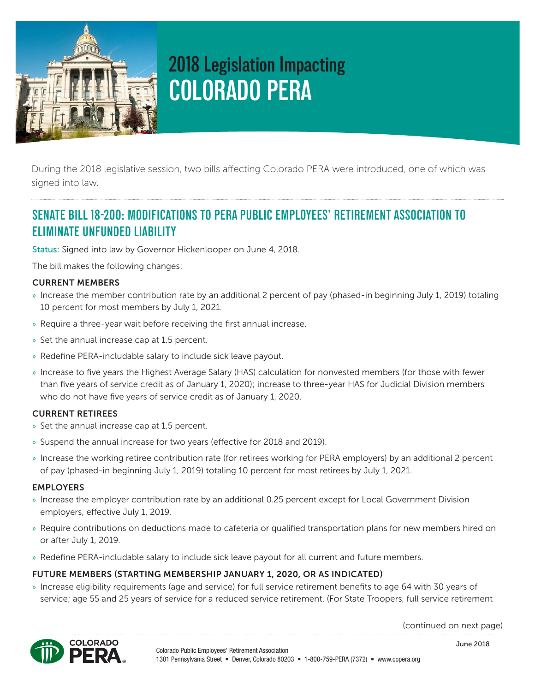

# **2018 Legislation Impacting COLORADO PERA**

During the 2018 legislative session, two bills affecting Colorado PERA were introduced, one of which was signed into law.

# **SENATE BILL 18-200: MODIFICATIONS TO PERA PUBLIC EMPLOYEES' RETIREMENT ASSOCIATION TO ELIMINATE UNFUNDED LIABILITY**

Status: Signed into law by Governor Hickenlooper on June 4, 2018.

The bill makes the following changes:

## CURRENT MEMBERS

- » Increase the member contribution rate by an additional 2 percent of pay (phased-in beginning July 1, 2019) totaling 10 percent for most members by July 1, 2021.
- » Require a three-year wait before receiving the first annual increase.
- » Set the annual increase cap at 1.5 percent.
- » Redefine PERA-includable salary to include sick leave payout.
- » Increase to five years the Highest Average Salary (HAS) calculation for nonvested members (for those with fewer than five years of service credit as of January 1, 2020); increase to three-year HAS for Judicial Division members who do not have five years of service credit as of January 1, 2020.

#### CURRENT RETIREES

- » Set the annual increase cap at 1.5 percent.
- » Suspend the annual increase for two years (effective for 2018 and 2019).
- » Increase the working retiree contribution rate (for retirees working for PERA employers) by an additional 2 percent of pay (phased-in beginning July 1, 2019) totaling 10 percent for most retirees by July 1, 2021.

#### EMPLOYERS

- » Increase the employer contribution rate by an additional 0.25 percent except for Local Government Division employers, effective July 1, 2019.
- » Require contributions on deductions made to cafeteria or qualified transportation plans for new members hired on or after July 1, 2019.
- » Redefine PERA-includable salary to include sick leave payout for all current and future members.

## FUTURE MEMBERS (STARTING MEMBERSHIP JANUARY 1, 2020, OR AS INDICATED)

» Increase eligibility requirements (age and service) for full service retirement benefits to age 64 with 30 years of service; age 55 and 25 years of service for a reduced service retirement. (For State Troopers, full service retirement

(continued on next page)